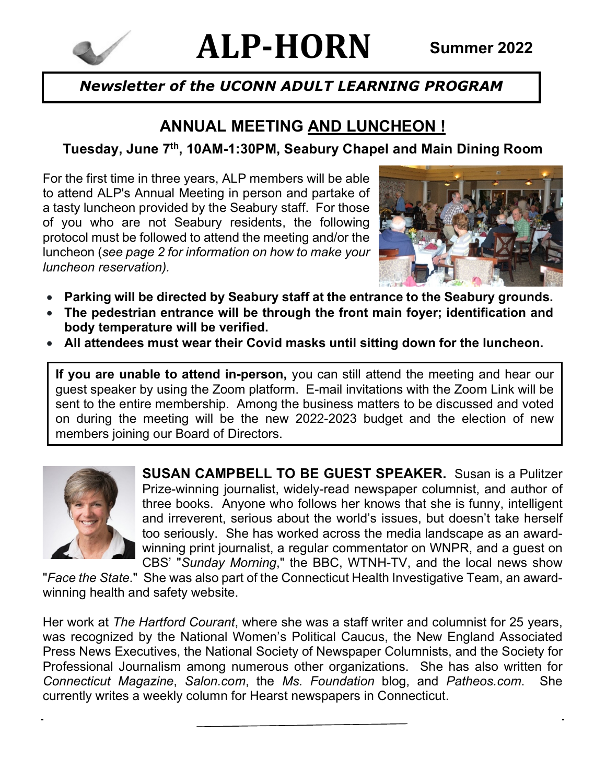

# **ALP-HORN Summer 2022**

## *Newsletter of the UCONN ADULT LEARNING PROGRAM*

## **ANNUAL MEETING AND LUNCHEON !**

**Tuesday, June 7th, 10AM-1:30PM, Seabury Chapel and Main Dining Room**

For the first time in three years, ALP members will be able to attend ALP's Annual Meeting in person and partake of a tasty luncheon provided by the Seabury staff. For those of you who are not Seabury residents, the following protocol must be followed to attend the meeting and/or the luncheon (*see page 2 for information on how to make your luncheon reservation).*



- **Parking will be directed by Seabury staff at the entrance to the Seabury grounds.**
- **The pedestrian entrance will be through the front main foyer; identification and body temperature will be verified.**
- **All attendees must wear their Covid masks until sitting down for the luncheon.**

**If you are unable to attend in-person,** you can still attend the meeting and hear our guest speaker by using the Zoom platform. E-mail invitations with the Zoom Link will be sent to the entire membership. Among the business matters to be discussed and voted on during the meeting will be the new 2022-2023 budget and the election of new members joining our Board of Directors.



**SUSAN CAMPBELL TO BE GUEST SPEAKER.** Susan is a Pulitzer Prize-winning journalist, widely-read newspaper columnist, and author of three books. Anyone who follows her knows that she is funny, intelligent and irreverent, serious about the world's issues, but doesn't take herself too seriously. She has worked across the media landscape as an awardwinning print journalist, a regular commentator on WNPR, and a guest on CBS' "*Sunday Morning*," the BBC, WTNH-TV, and the local news show

"*Face the State*." She was also part of the Connecticut Health Investigative Team, an awardwinning health and safety website.

Her work at *The Hartford Courant*, where she was a staff writer and columnist for 25 years, was recognized by the National Women's Political Caucus, the New England Associated Press News Executives, the National Society of Newspaper Columnists, and the Society for Professional Journalism among numerous other organizations. She has also written for *Connecticut Magazine*, *Salon.com*, the *Ms. Foundation* blog, and *Patheos.com*. She currently writes a weekly column for Hearst newspapers in Connecticut.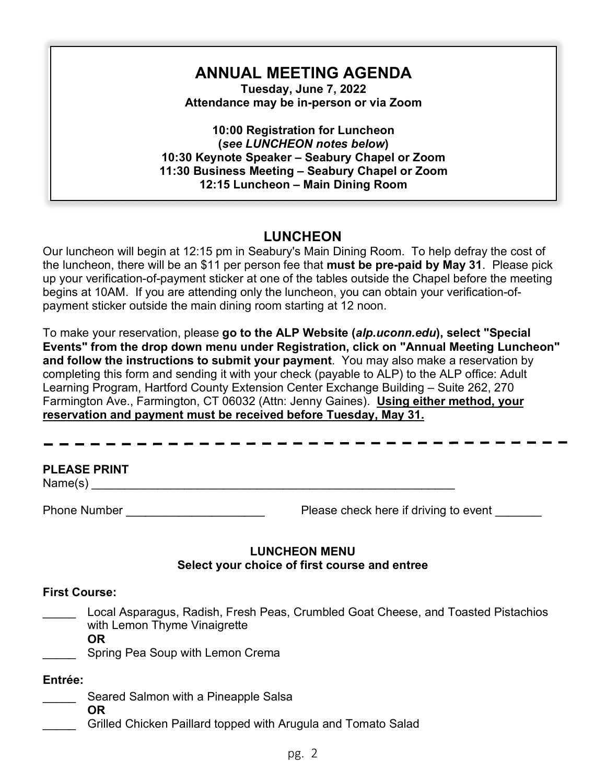## **ANNUAL MEETING AGENDA**

**Tuesday, June 7, 2022 Attendance may be in-person or via Zoom**

**10:00 Registration for Luncheon (***see LUNCHEON notes below***) 10:30 Keynote Speaker – Seabury Chapel or Zoom 11:30 Business Meeting – Seabury Chapel or Zoom 12:15 Luncheon – Main Dining Room** 

#### **LUNCHEON**

Our luncheon will begin at 12:15 pm in Seabury's Main Dining Room. To help defray the cost of the luncheon, there will be an \$11 per person fee that **must be pre-paid by May 31**. Please pick up your verification-of-payment sticker at one of the tables outside the Chapel before the meeting begins at 10AM. If you are attending only the luncheon, you can obtain your verification-ofpayment sticker outside the main dining room starting at 12 noon.

To make your reservation, please **go to the ALP Website (***alp.uconn.edu***), select "Special Events" from the drop down menu under Registration, click on "Annual Meeting Luncheon" and follow the instructions to submit your payment**. You may also make a reservation by completing this form and sending it with your check (payable to ALP) to the ALP office: Adult Learning Program, Hartford County Extension Center Exchange Building – Suite 262, 270 Farmington Ave., Farmington, CT 06032 (Attn: Jenny Gaines). **Using either method, your reservation and payment must be received before Tuesday, May 31.**

#### **PLEASE PRINT**

 $Name(s)$ 

Phone Number **Phone Number Please check here if driving to event**   $\blacksquare$ 

#### **LUNCHEON MENU Select your choice of first course and entree**

#### **First Course:**

\_\_\_\_\_ Local Asparagus, Radish, Fresh Peas, Crumbled Goat Cheese, and Toasted Pistachios with Lemon Thyme Vinaigrette

**OR**

Spring Pea Soup with Lemon Crema

#### **Entrée:**

- Seared Salmon with a Pineapple Salsa
- **OR**
	- Grilled Chicken Paillard topped with Arugula and Tomato Salad

#### pg. 2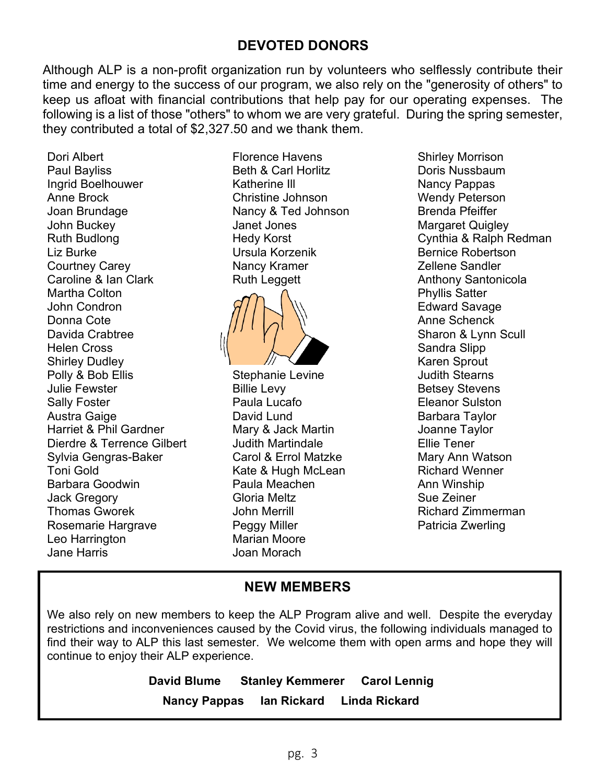#### **DEVOTED DONORS**

Although ALP is a non-profit organization run by volunteers who selflessly contribute their time and energy to the success of our program, we also rely on the "generosity of others" to keep us afloat with financial contributions that help pay for our operating expenses. The following is a list of those "others" to whom we are very grateful. During the spring semester, they contributed a total of \$2,327.50 and we thank them.

Dori Albert Paul Bayliss Ingrid Boelhouwer Anne Brock Joan Brundage John Buckey Ruth Budlong Liz Burke Courtney Carey Caroline & Ian Clark Martha Colton John Condron Donna Cote Davida Crabtree Helen Cross Shirley Dudley Polly & Bob Ellis Julie Fewster Sally Foster Austra Gaige Harriet & Phil Gardner Dierdre & Terrence Gilbert Sylvia Gengras-Baker Toni Gold Barbara Goodwin Jack Gregory Thomas Gworek Rosemarie Hargrave Leo Harrington Jane Harris

Florence Havens Beth & Carl Horlitz Katherine Ill Christine Johnson Nancy & Ted Johnson Janet Jones Hedy Korst Ursula Korzenik Nancy Kramer Ruth Leggett



Stephanie Levine Billie Levy Paula Lucafo David Lund Mary & Jack Martin Judith Martindale Carol & Errol Matzke Kate & Hugh McLean Paula Meachen Gloria Meltz John Merrill Peggy Miller Marian Moore Joan Morach

Shirley Morrison Doris Nussbaum Nancy Pappas Wendy Peterson Brenda Pfeiffer Margaret Quigley Cynthia & Ralph Redman Bernice Robertson Zellene Sandler Anthony Santonicola Phyllis Satter Edward Savage Anne Schenck Sharon & Lynn Scull Sandra Slipp Karen Sprout Judith Stearns Betsey Stevens Eleanor Sulston Barbara Taylor Joanne Taylor Ellie Tener Mary Ann Watson Richard Wenner Ann Winship Sue Zeiner Richard Zimmerman Patricia Zwerling

#### **NEW MEMBERS**

We also rely on new members to keep the ALP Program alive and well. Despite the everyday restrictions and inconveniences caused by the Covid virus, the following individuals managed to find their way to ALP this last semester. We welcome them with open arms and hope they will continue to enjoy their ALP experience.

> **David Blume Stanley Kemmerer Carol Lennig Nancy Pappas Ian Rickard Linda Rickard**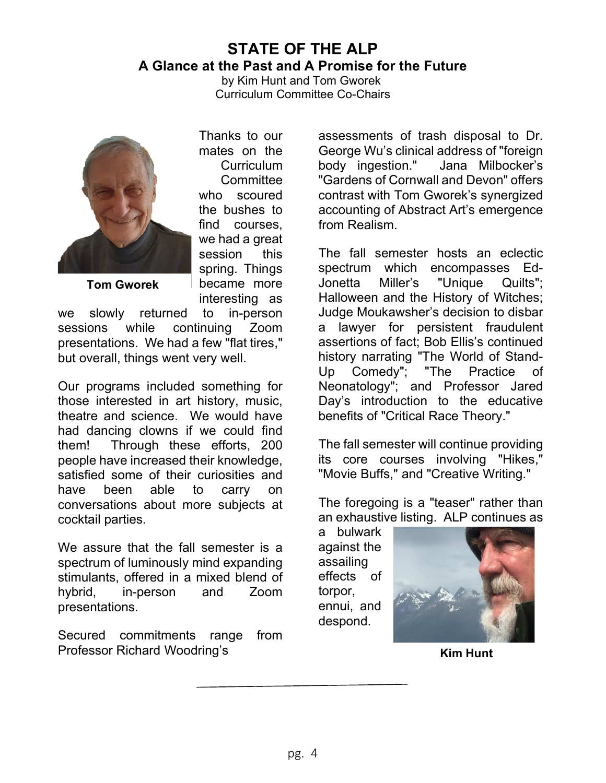## **STATE OF THE ALP A Glance at the Past and A Promise for the Future**

by Kim Hunt and Tom Gworek Curriculum Committee Co-Chairs



Thanks to our mates on the **Curriculum Committee** who scoured the bushes to find courses, we had a great session this spring. Things became more interesting as

**Tom Gworek**

we slowly returned to in-person sessions while continuing Zoom presentations. We had a few "flat tires," but overall, things went very well.

Our programs included something for those interested in art history, music, theatre and science. We would have had dancing clowns if we could find them! Through these efforts, 200 people have increased their knowledge, satisfied some of their curiosities and have been able to carry on conversations about more subjects at cocktail parties.

We assure that the fall semester is a spectrum of luminously mind expanding stimulants, offered in a mixed blend of hybrid, in-person and Zoom presentations.

Secured commitments range from Professor Richard Woodring's

assessments of trash disposal to Dr. George Wu's clinical address of "foreign body ingestion." Jana Milbocker's "Gardens of Cornwall and Devon" offers contrast with Tom Gworek's synergized accounting of Abstract Art's emergence from Realism.

The fall semester hosts an eclectic spectrum which encompasses Ed-Jonetta Miller's "Unique Quilts"; Halloween and the History of Witches; Judge Moukawsher's decision to disbar a lawyer for persistent fraudulent assertions of fact; Bob Ellis's continued history narrating "The World of Stand-Up Comedy"; "The Practice of Neonatology"; and Professor Jared Day's introduction to the educative benefits of "Critical Race Theory."

The fall semester will continue providing its core courses involving "Hikes," "Movie Buffs," and "Creative Writing."

The foregoing is a "teaser" rather than an exhaustive listing. ALP continues as

a bulwark against the assailing effects of torpor, ennui, and despond.



**Kim Hunt**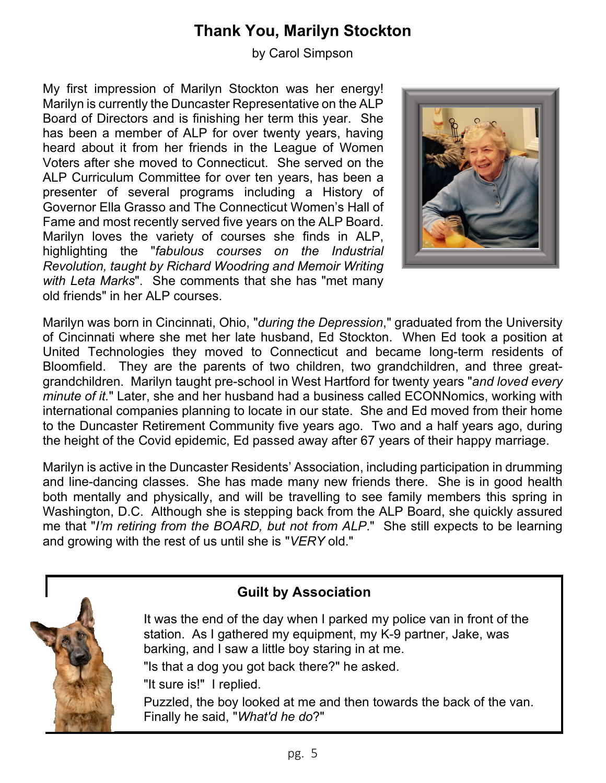## **Thank You, Marilyn Stockton**

by Carol Simpson

My first impression of Marilyn Stockton was her energy! Marilyn is currently the Duncaster Representative on the ALP Board of Directors and is finishing her term this year. She has been a member of ALP for over twenty years, having heard about it from her friends in the League of Women Voters after she moved to Connecticut. She served on the ALP Curriculum Committee for over ten years, has been a presenter of several programs including a History of Governor Ella Grasso and The Connecticut Women's Hall of Fame and most recently served five years on the ALP Board. Marilyn loves the variety of courses she finds in ALP, highlighting the "*fabulous courses on the Industrial Revolution, taught by Richard Woodring and Memoir Writing with Leta Marks*". She comments that she has "met many old friends" in her ALP courses.



Marilyn was born in Cincinnati, Ohio, "*during the Depression*," graduated from the University of Cincinnati where she met her late husband, Ed Stockton. When Ed took a position at United Technologies they moved to Connecticut and became long-term residents of Bloomfield. They are the parents of two children, two grandchildren, and three greatgrandchildren. Marilyn taught pre-school in West Hartford for twenty years "*and loved every minute of it.*" Later, she and her husband had a business called ECONNomics, working with international companies planning to locate in our state. She and Ed moved from their home to the Duncaster Retirement Community five years ago. Two and a half years ago, during the height of the Covid epidemic, Ed passed away after 67 years of their happy marriage.

Marilyn is active in the Duncaster Residents' Association, including participation in drumming and line-dancing classes. She has made many new friends there. She is in good health both mentally and physically, and will be travelling to see family members this spring in Washington, D.C. Although she is stepping back from the ALP Board, she quickly assured me that "*I'm retiring from the BOARD, but not from ALP*." She still expects to be learning and growing with the rest of us until she is "*VERY* old."



### **Guilt by Association**

It was the end of the day when I parked my police van in front of the station. As I gathered my equipment, my K-9 partner, Jake, was barking, and I saw a little boy staring in at me. "Is that a dog you got back there?" he asked. "It sure is!" I replied. Puzzled, the boy looked at me and then towards the back of the van.

Finally he said, "*What'd he do*?"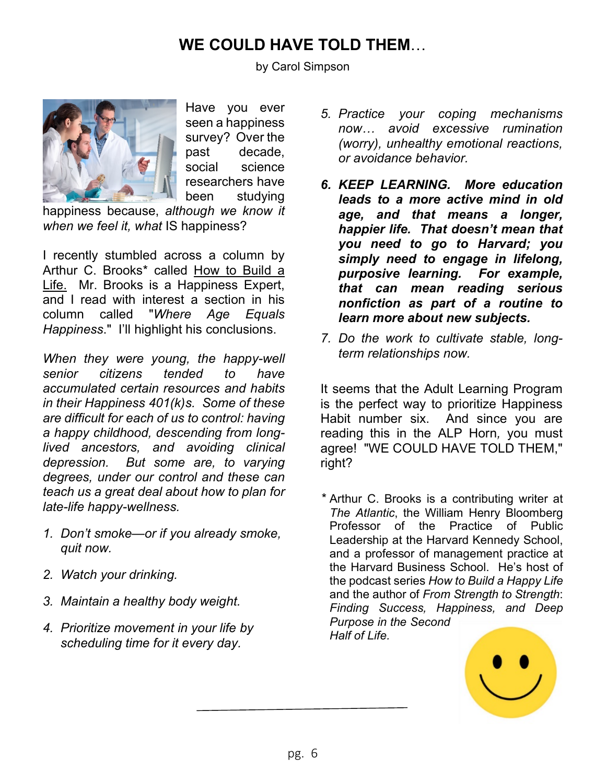## **WE COULD HAVE TOLD THEM**…

by Carol Simpson



Have you ever seen a happiness survey? Over the past decade, social science researchers have been studying

happiness because, *although we know it when we feel it, what* IS happiness?

I recently stumbled across a column by Arthur C. Brooks\* called How to Build a Life. Mr. Brooks is a Happiness Expert, and I read with interest a section in his column called "*Where Age Equals Happiness*." I'll highlight his conclusions.

*When they were young, the happy-well senior citizens tended to have accumulated certain resources and habits in their Happiness 401(k)s. Some of these are difficult for each of us to control: having a happy childhood, descending from longlived ancestors, and avoiding clinical depression. But some are, to varying degrees, under our control and these can teach us a great deal about how to plan for late-life happy-wellness.* 

- *1. Don't smoke—or if you already smoke, quit now.*
- *2. Watch your drinking.*
- *3. Maintain a healthy body weight.*
- *4. Prioritize movement in your life by scheduling time for it every day.*
- *5. Practice your coping mechanisms now… avoid excessive rumination (worry), unhealthy emotional reactions, or avoidance behavior.*
- *6. KEEP LEARNING. More education leads to a more active mind in old age, and that means a longer, happier life. That doesn't mean that you need to go to Harvard; you simply need to engage in lifelong, purposive learning. For example, that can mean reading serious nonfiction as part of a routine to learn more about new subjects.*
- *7. Do the work to cultivate stable, longterm relationships now.*

It seems that the Adult Learning Program is the perfect way to prioritize Happiness Habit number six. And since you are reading this in the ALP Horn*,* you must agree! "WE COULD HAVE TOLD THEM," right?

*\** Arthur C. Brooks is a contributing writer at *The Atlantic*, the William Henry Bloomberg Professor of the Practice of Public Leadership at the Harvard Kennedy School, and a professor of management practice at the Harvard Business School. He's host of the podcast series *How to Build a Happy Life* and the author of *From Strength to Strength*: *Finding Success, Happiness, and Deep Purpose in the Second* 

*Half of Life.*

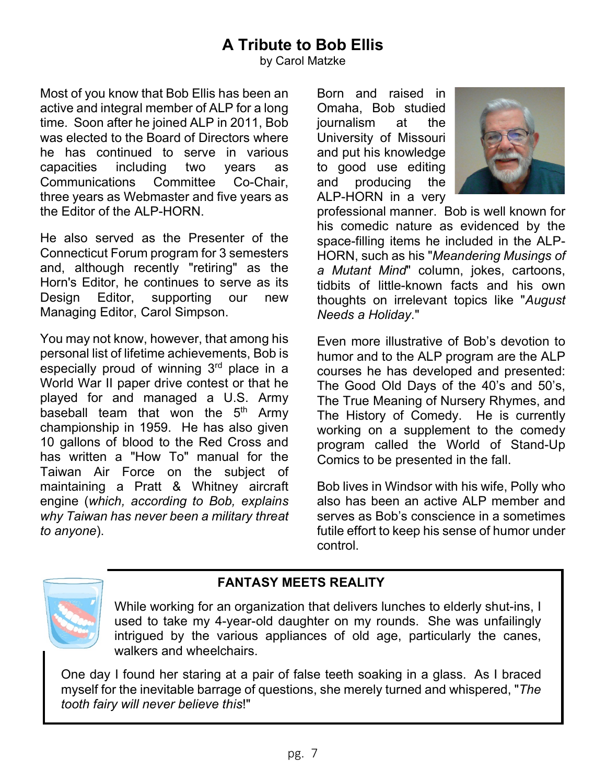## **A Tribute to Bob Ellis**

by Carol Matzke

Most of you know that Bob Ellis has been an active and integral member of ALP for a long time. Soon after he joined ALP in 2011, Bob was elected to the Board of Directors where he has continued to serve in various capacities including two years as Communications Committee Co-Chair, three years as Webmaster and five years as the Editor of the ALP-HORN.

He also served as the Presenter of the Connecticut Forum program for 3 semesters and, although recently "retiring" as the Horn's Editor, he continues to serve as its Design Editor, supporting our new Managing Editor, Carol Simpson.

You may not know, however, that among his personal list of lifetime achievements, Bob is especially proud of winning 3rd place in a World War II paper drive contest or that he played for and managed a U.S. Army baseball team that won the  $5<sup>th</sup>$  Army championship in 1959. He has also given 10 gallons of blood to the Red Cross and has written a "How To" manual for the Taiwan Air Force on the subject of maintaining a Pratt & Whitney aircraft engine (*which, according to Bob, explains why Taiwan has never been a military threat to anyone*).

Born and raised in Omaha, Bob studied journalism at the University of Missouri and put his knowledge to good use editing and producing the ALP-HORN in a very



professional manner. Bob is well known for his comedic nature as evidenced by the space-filling items he included in the ALP-HORN, such as his "*Meandering Musings of a Mutant Mind*" column, jokes, cartoons, tidbits of little-known facts and his own thoughts on irrelevant topics like "*August Needs a Holiday*."

Even more illustrative of Bob's devotion to humor and to the ALP program are the ALP courses he has developed and presented: The Good Old Days of the 40's and 50's, The True Meaning of Nursery Rhymes, and The History of Comedy. He is currently working on a supplement to the comedy program called the World of Stand-Up Comics to be presented in the fall.

Bob lives in Windsor with his wife, Polly who also has been an active ALP member and serves as Bob's conscience in a sometimes futile effort to keep his sense of humor under control.



### **FANTASY MEETS REALITY**

While working for an organization that delivers lunches to elderly shut-ins, I used to take my 4-year-old daughter on my rounds. She was unfailingly intrigued by the various appliances of old age, particularly the canes, walkers and wheelchairs.

One day I found her staring at a pair of false teeth soaking in a glass. As I braced myself for the inevitable barrage of questions, she merely turned and whispered, "*The tooth fairy will never believe this*!"